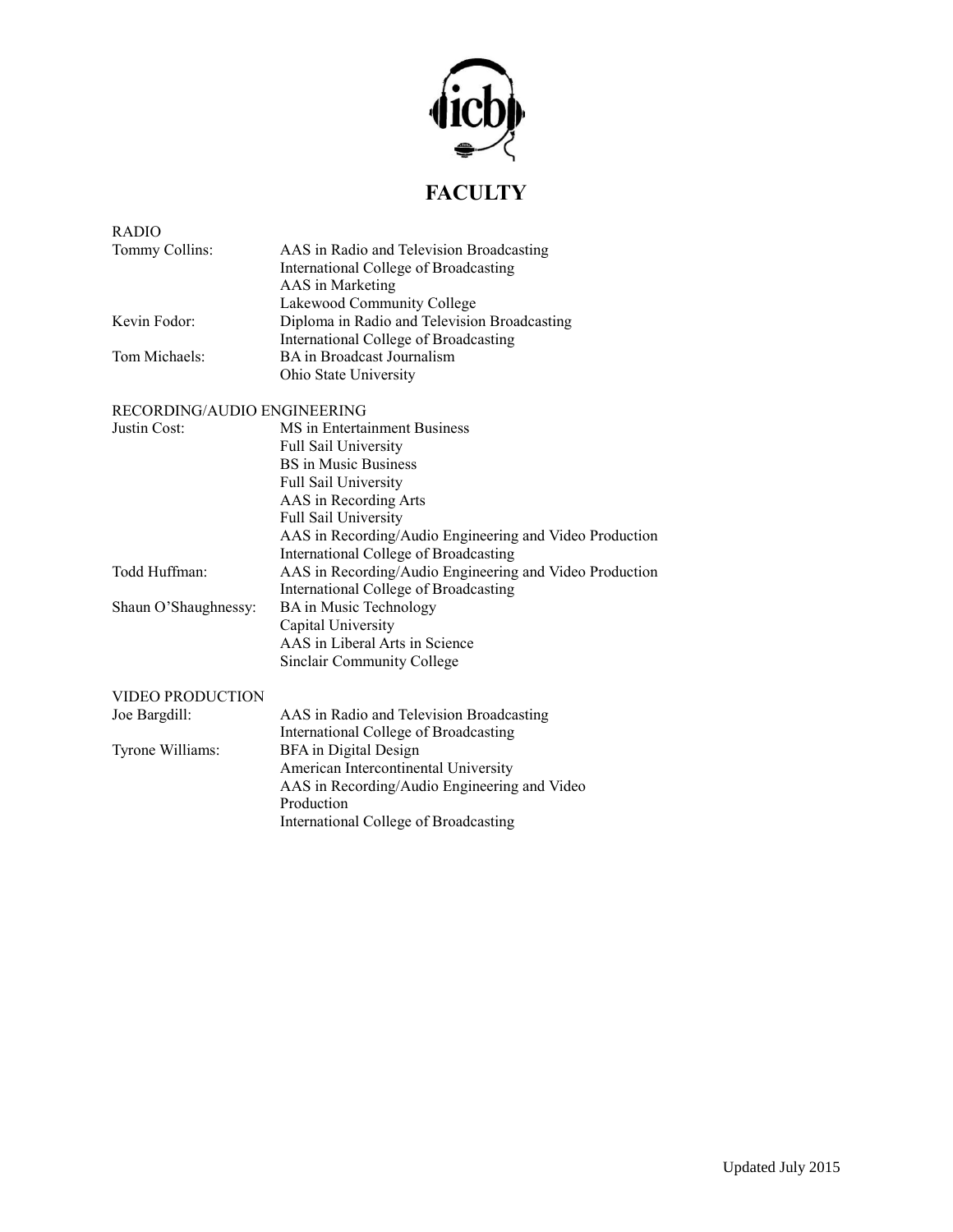

## **FACULTY**

| <b>RADIO</b>                |                                                                                                                                                                                                                                                                                |
|-----------------------------|--------------------------------------------------------------------------------------------------------------------------------------------------------------------------------------------------------------------------------------------------------------------------------|
| Tommy Collins:              | AAS in Radio and Television Broadcasting<br>International College of Broadcasting<br>AAS in Marketing<br>Lakewood Community College                                                                                                                                            |
| Kevin Fodor:                | Diploma in Radio and Television Broadcasting<br>International College of Broadcasting                                                                                                                                                                                          |
| Tom Michaels:               | BA in Broadcast Journalism<br>Ohio State University                                                                                                                                                                                                                            |
| RECORDING/AUDIO ENGINEERING |                                                                                                                                                                                                                                                                                |
| Justin Cost:                | MS in Entertainment Business<br><b>Full Sail University</b><br><b>BS</b> in Music Business<br>Full Sail University<br>AAS in Recording Arts<br><b>Full Sail University</b><br>AAS in Recording/Audio Engineering and Video Production<br>International College of Broadcasting |
| Todd Huffman:               | AAS in Recording/Audio Engineering and Video Production<br>International College of Broadcasting                                                                                                                                                                               |
| Shaun O'Shaughnessy:        | <b>BA</b> in Music Technology<br>Capital University<br>AAS in Liberal Arts in Science<br>Sinclair Community College                                                                                                                                                            |
| VIDEO PRODUCTION            |                                                                                                                                                                                                                                                                                |
| Joe Bargdill:               | AAS in Radio and Television Broadcasting<br>International College of Broadcasting                                                                                                                                                                                              |
| Tyrone Williams:            | BFA in Digital Design<br>American Intercontinental University<br>AAS in Recording/Audio Engineering and Video<br>Production<br>International College of Broadcasting                                                                                                           |